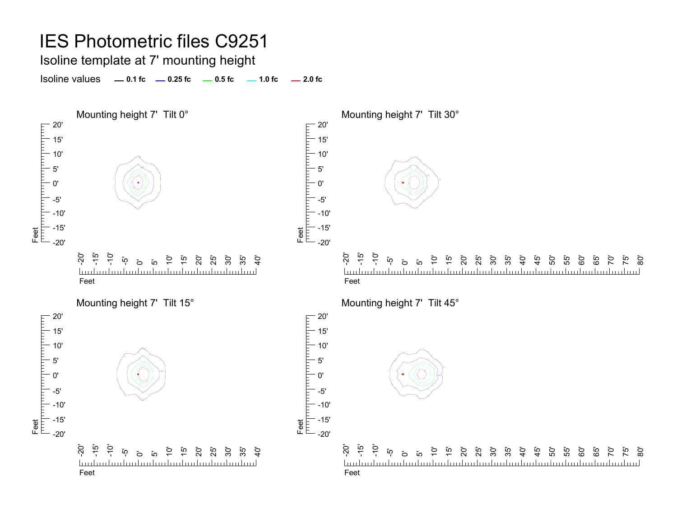Isoline template at 7' mounting height

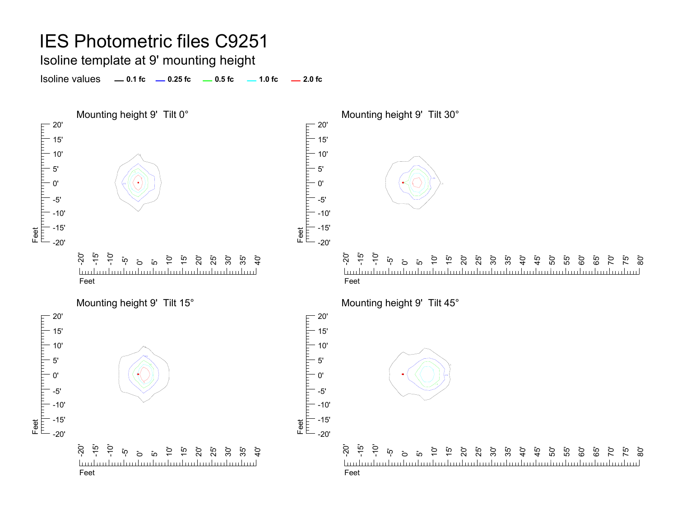#### Isoline template at 9' mounting height

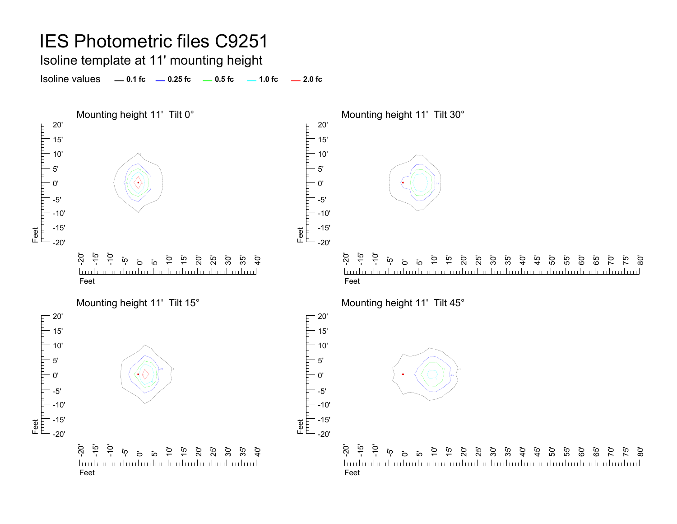Isoline template at 11' mounting height

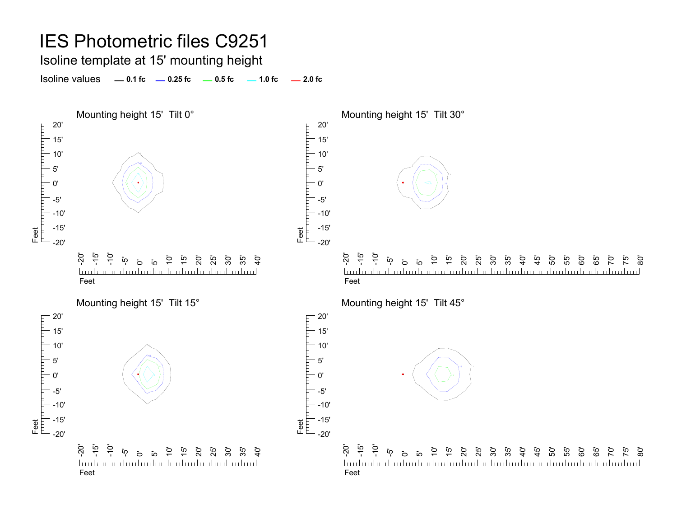Isoline template at 15' mounting height

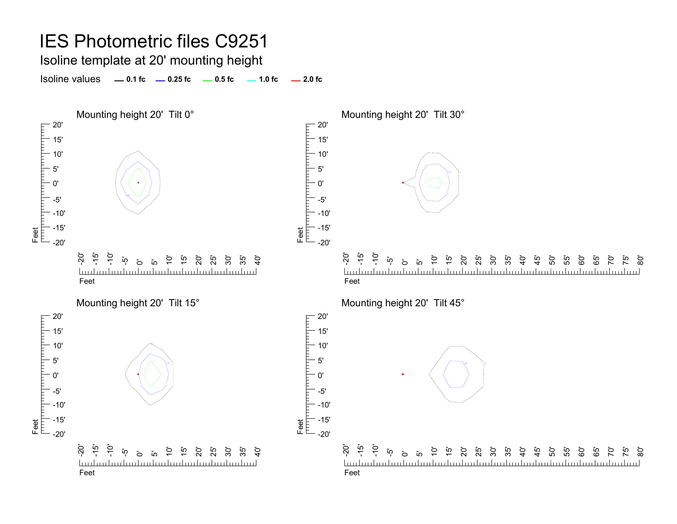Isoline template at 20' mounting height

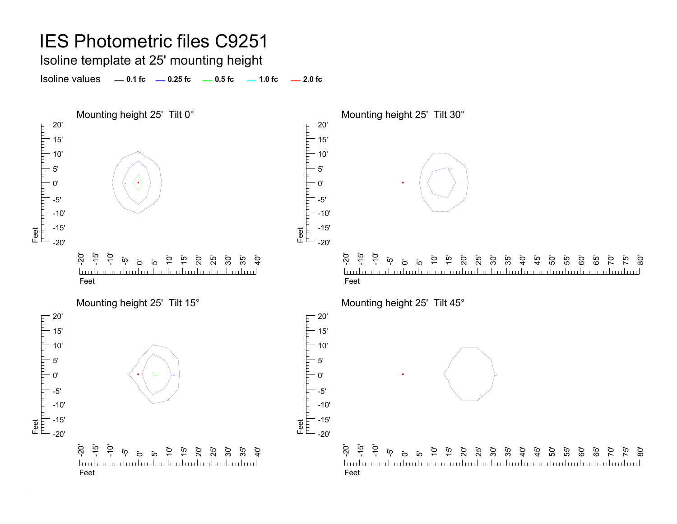Isoline template at 25' mounting height

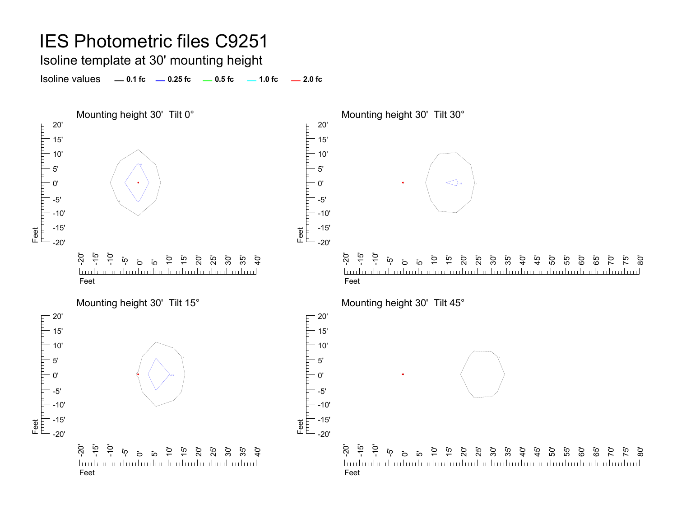Isoline template at 30' mounting height